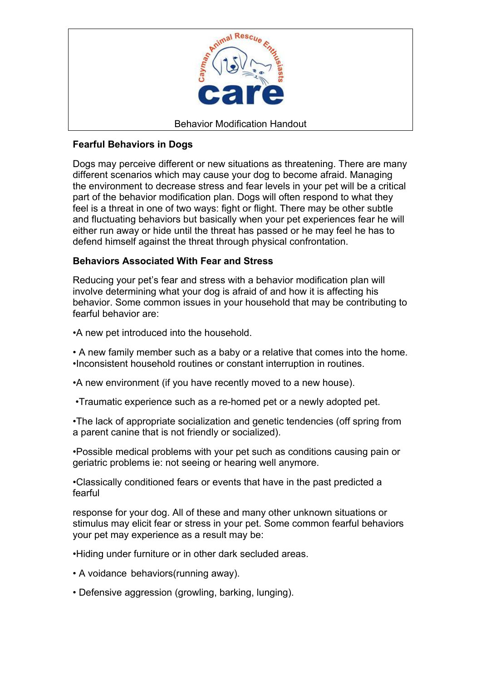

# **Fearful Behaviors in Dogs**

Dogs may perceive different or new situations as threatening. There are many different scenarios which may cause your dog to become afraid. Managing the environment to decrease stress and fear levels in your pet will be a critical part of the behavior modification plan. Dogs will often respond to what they feel is a threat in one of two ways: fight or flight. There may be other subtle and fluctuating behaviors but basically when your pet experiences fear he will either run away or hide until the threat has passed or he may feel he has to defend himself against the threat through physical confrontation.

### **Behaviors Associated With Fear and Stress**

Reducing your pet's fear and stress with a behavior modification plan will involve determining what your dog is afraid of and how it is affecting his behavior. Some common issues in your household that may be contributing to fearful behavior are:

- •A new pet introduced into the household.
- A new family member such as a baby or a relative that comes into the home. •Inconsistent household routines or constant interruption in routines.
- •A new environment (if you have recently moved to a new house).
- •Traumatic experience such as a re-homed pet or a newly adopted pet.

•The lack of appropriate socialization and genetic tendencies (off spring from a parent canine that is not friendly or socialized).

•Possible medical problems with your pet such as conditions causing pain or geriatric problems ie: not seeing or hearing well anymore.

•Classically conditioned fears or events that have in the past predicted a fearful

response for your dog. All of these and many other unknown situations or stimulus may elicit fear or stress in your pet. Some common fearful behaviors your pet may experience as a result may be:

•Hiding under furniture or in other dark secluded areas.

- A voidance behaviors(running away).
- Defensive aggression (growling, barking, lunging).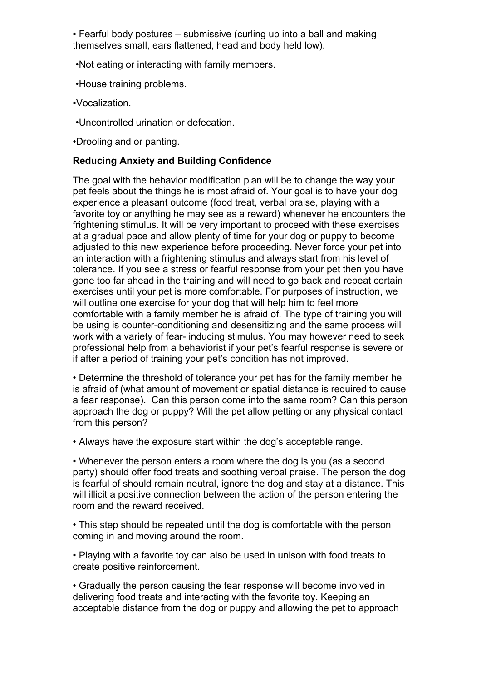• Fearful body postures – submissive (curling up into a ball and making themselves small, ears flattened, head and body held low).

•Not eating or interacting with family members.

•House training problems.

•Vocalization.

•Uncontrolled urination or defecation.

•Drooling and or panting.

## **Reducing Anxiety and Building Confidence**

The goal with the behavior modification plan will be to change the way your pet feels about the things he is most afraid of. Your goal is to have your dog experience a pleasant outcome (food treat, verbal praise, playing with a favorite toy or anything he may see as a reward) whenever he encounters the frightening stimulus. It will be very important to proceed with these exercises at a gradual pace and allow plenty of time for your dog or puppy to become adjusted to this new experience before proceeding. Never force your pet into an interaction with a frightening stimulus and always start from his level of tolerance. If you see a stress or fearful response from your pet then you have gone too far ahead in the training and will need to go back and repeat certain exercises until your pet is more comfortable. For purposes of instruction, we will outline one exercise for your dog that will help him to feel more comfortable with a family member he is afraid of. The type of training you will be using is counter-conditioning and desensitizing and the same process will work with a variety of fear- inducing stimulus. You may however need to seek professional help from a behaviorist if your pet's fearful response is severe or if after a period of training your pet's condition has not improved.

• Determine the threshold of tolerance your pet has for the family member he is afraid of (what amount of movement or spatial distance is required to cause a fear response). Can this person come into the same room? Can this person approach the dog or puppy? Will the pet allow petting or any physical contact from this person?

• Always have the exposure start within the dog's acceptable range.

• Whenever the person enters a room where the dog is you (as a second party) should offer food treats and soothing verbal praise. The person the dog is fearful of should remain neutral, ignore the dog and stay at a distance. This will illicit a positive connection between the action of the person entering the room and the reward received.

• This step should be repeated until the dog is comfortable with the person coming in and moving around the room.

• Playing with a favorite toy can also be used in unison with food treats to create positive reinforcement.

• Gradually the person causing the fear response will become involved in delivering food treats and interacting with the favorite toy. Keeping an acceptable distance from the dog or puppy and allowing the pet to approach